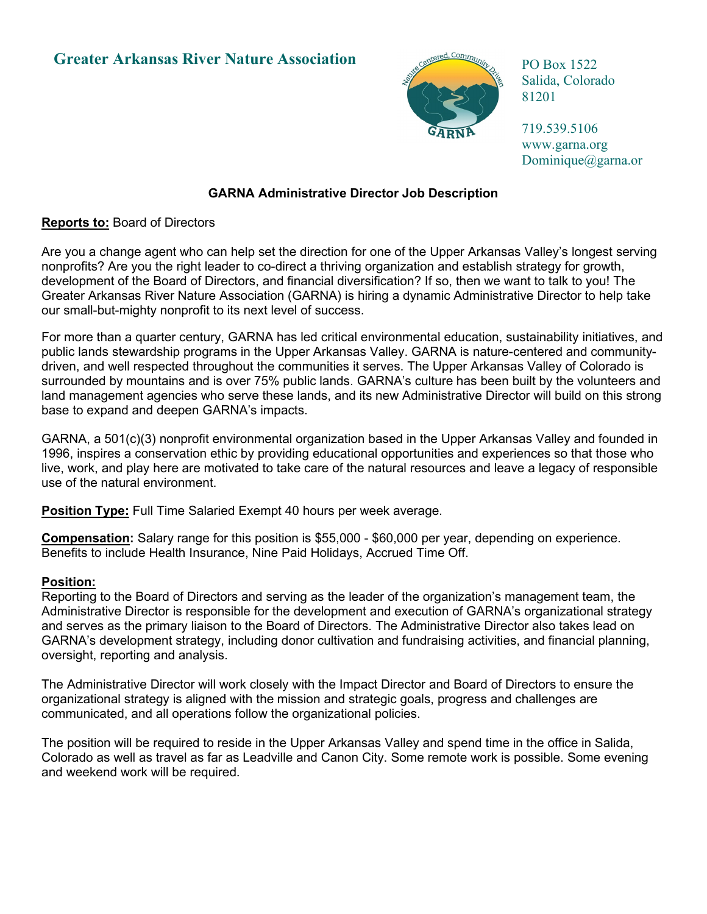# **Greater Arkansas River Nature Association**



PO Box 1522 Salida, Colorado 81201

719.539.5106 [www.garna.org](http://www.garna.org/)  Dominique@garna.or

## **GARNA Administrative Director Job Description**

**Reports to:** Board of Directors

Are you a change agent who can help set the direction for one of the Upper Arkansas Valley's longest serving nonprofits? Are you the right leader to co-direct a thriving organization and establish strategy for growth, development of the Board of Directors, and financial diversification? If so, then we want to talk to you! The Greater Arkansas River Nature Association (GARNA) is hiring a dynamic Administrative Director to help take our small-but-mighty nonprofit to its next level of success.

For more than a quarter century, GARNA has led critical environmental education, sustainability initiatives, and public lands stewardship programs in the Upper Arkansas Valley. GARNA is nature-centered and communitydriven, and well respected throughout the communities it serves. The Upper Arkansas Valley of Colorado is surrounded by mountains and is over 75% public lands. GARNA's culture has been built by the volunteers and land management agencies who serve these lands, and its new Administrative Director will build on this strong base to expand and deepen GARNA's impacts.

GARNA, a 501(c)(3) nonprofit environmental organization based in the Upper Arkansas Valley and founded in 1996, inspires a conservation ethic by providing educational opportunities and experiences so that those who live, work, and play here are motivated to take care of the natural resources and leave a legacy of responsible use of the natural environment.

**Position Type:** Full Time Salaried Exempt 40 hours per week average.

**Compensation:** Salary range for this position is \$55,000 - \$60,000 per year, depending on experience. Benefits to include Health Insurance, Nine Paid Holidays, Accrued Time Off.

### **Position:**

Reporting to the Board of Directors and serving as the leader of the organization's management team, the Administrative Director is responsible for the development and execution of GARNA's organizational strategy and serves as the primary liaison to the Board of Directors. The Administrative Director also takes lead on GARNA's development strategy, including donor cultivation and fundraising activities, and financial planning, oversight, reporting and analysis.

The Administrative Director will work closely with the Impact Director and Board of Directors to ensure the organizational strategy is aligned with the mission and strategic goals, progress and challenges are communicated, and all operations follow the organizational policies.

The position will be required to reside in the Upper Arkansas Valley and spend time in the office in Salida, Colorado as well as travel as far as Leadville and Canon City. Some remote work is possible. Some evening and weekend work will be required.